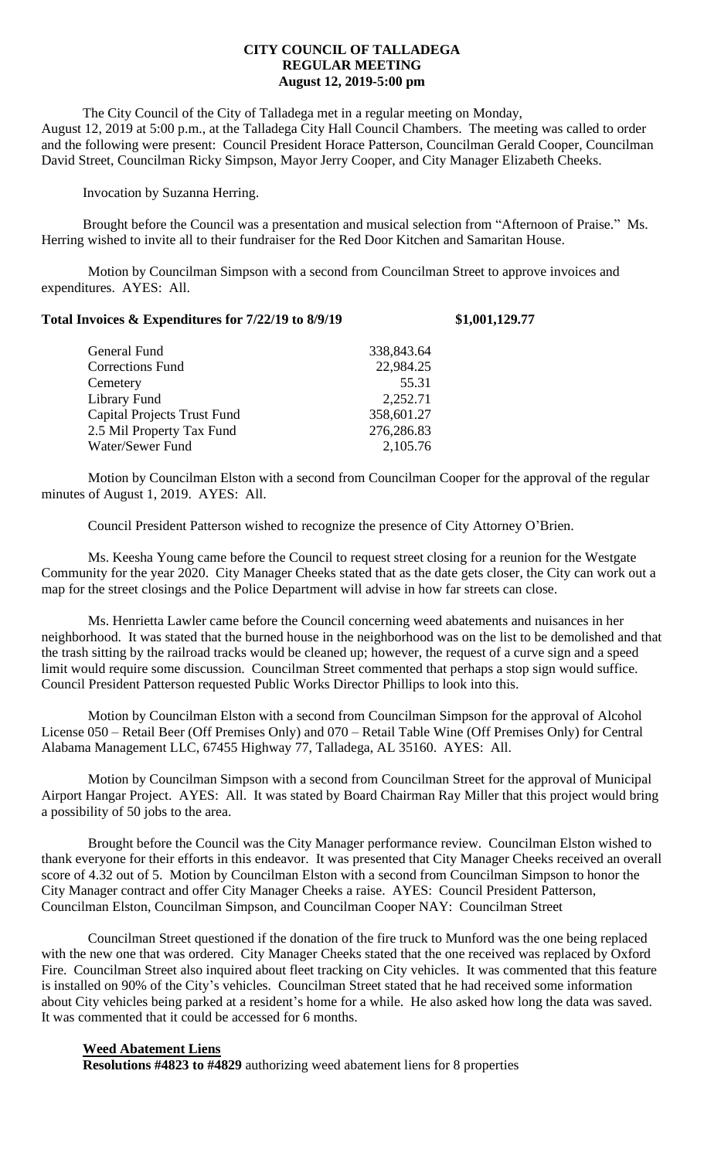### **CITY COUNCIL OF TALLADEGA REGULAR MEETING August 12, 2019-5:00 pm**

The City Council of the City of Talladega met in a regular meeting on Monday, August 12, 2019 at 5:00 p.m., at the Talladega City Hall Council Chambers. The meeting was called to order and the following were present: Council President Horace Patterson, Councilman Gerald Cooper, Councilman David Street, Councilman Ricky Simpson, Mayor Jerry Cooper, and City Manager Elizabeth Cheeks.

Invocation by Suzanna Herring.

Brought before the Council was a presentation and musical selection from "Afternoon of Praise." Ms. Herring wished to invite all to their fundraiser for the Red Door Kitchen and Samaritan House.

Motion by Councilman Simpson with a second from Councilman Street to approve invoices and expenditures. AYES: All.

| General Fund                       | 338,843.64 |
|------------------------------------|------------|
| <b>Corrections Fund</b>            | 22,984.25  |
| Cemetery                           | 55.31      |
| Library Fund                       | 2,252.71   |
| <b>Capital Projects Trust Fund</b> | 358,601.27 |
| 2.5 Mil Property Tax Fund          | 276,286.83 |
| Water/Sewer Fund                   | 2,105.76   |

Motion by Councilman Elston with a second from Councilman Cooper for the approval of the regular minutes of August 1, 2019. AYES: All.

Council President Patterson wished to recognize the presence of City Attorney O'Brien.

Ms. Keesha Young came before the Council to request street closing for a reunion for the Westgate Community for the year 2020. City Manager Cheeks stated that as the date gets closer, the City can work out a map for the street closings and the Police Department will advise in how far streets can close.

Ms. Henrietta Lawler came before the Council concerning weed abatements and nuisances in her neighborhood. It was stated that the burned house in the neighborhood was on the list to be demolished and that the trash sitting by the railroad tracks would be cleaned up; however, the request of a curve sign and a speed limit would require some discussion. Councilman Street commented that perhaps a stop sign would suffice. Council President Patterson requested Public Works Director Phillips to look into this.

Motion by Councilman Elston with a second from Councilman Simpson for the approval of Alcohol License 050 – Retail Beer (Off Premises Only) and 070 – Retail Table Wine (Off Premises Only) for Central Alabama Management LLC, 67455 Highway 77, Talladega, AL 35160. AYES: All.

Motion by Councilman Simpson with a second from Councilman Street for the approval of Municipal Airport Hangar Project. AYES: All. It was stated by Board Chairman Ray Miller that this project would bring a possibility of 50 jobs to the area.

Brought before the Council was the City Manager performance review. Councilman Elston wished to thank everyone for their efforts in this endeavor. It was presented that City Manager Cheeks received an overall score of 4.32 out of 5. Motion by Councilman Elston with a second from Councilman Simpson to honor the City Manager contract and offer City Manager Cheeks a raise. AYES: Council President Patterson, Councilman Elston, Councilman Simpson, and Councilman Cooper NAY: Councilman Street

Councilman Street questioned if the donation of the fire truck to Munford was the one being replaced with the new one that was ordered. City Manager Cheeks stated that the one received was replaced by Oxford Fire. Councilman Street also inquired about fleet tracking on City vehicles. It was commented that this feature is installed on 90% of the City's vehicles. Councilman Street stated that he had received some information about City vehicles being parked at a resident's home for a while. He also asked how long the data was saved. It was commented that it could be accessed for 6 months.

#### **Weed Abatement Liens**

**Resolutions #4823 to #4829** authorizing weed abatement liens for 8 properties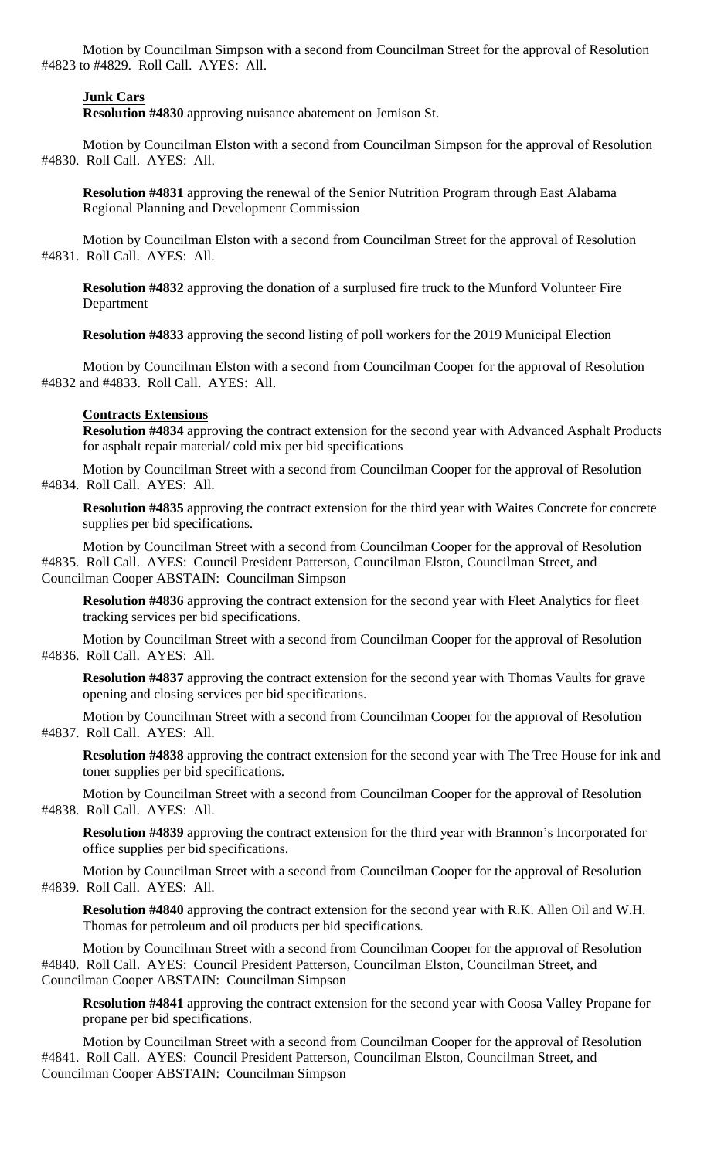Motion by Councilman Simpson with a second from Councilman Street for the approval of Resolution #4823 to #4829. Roll Call. AYES: All.

#### **Junk Cars**

**Resolution #4830** approving nuisance abatement on Jemison St.

Motion by Councilman Elston with a second from Councilman Simpson for the approval of Resolution #4830. Roll Call. AYES: All.

**Resolution #4831** approving the renewal of the Senior Nutrition Program through East Alabama Regional Planning and Development Commission

Motion by Councilman Elston with a second from Councilman Street for the approval of Resolution #4831. Roll Call. AYES: All.

**Resolution #4832** approving the donation of a surplused fire truck to the Munford Volunteer Fire Department

**Resolution #4833** approving the second listing of poll workers for the 2019 Municipal Election

Motion by Councilman Elston with a second from Councilman Cooper for the approval of Resolution #4832 and #4833. Roll Call. AYES: All.

# **Contracts Extensions**

**Resolution #4834** approving the contract extension for the second year with Advanced Asphalt Products for asphalt repair material/ cold mix per bid specifications

Motion by Councilman Street with a second from Councilman Cooper for the approval of Resolution #4834. Roll Call. AYES: All.

**Resolution #4835** approving the contract extension for the third year with Waites Concrete for concrete supplies per bid specifications.

Motion by Councilman Street with a second from Councilman Cooper for the approval of Resolution #4835. Roll Call. AYES: Council President Patterson, Councilman Elston, Councilman Street, and Councilman Cooper ABSTAIN: Councilman Simpson

**Resolution #4836** approving the contract extension for the second year with Fleet Analytics for fleet tracking services per bid specifications.

Motion by Councilman Street with a second from Councilman Cooper for the approval of Resolution #4836. Roll Call. AYES: All.

**Resolution #4837** approving the contract extension for the second year with Thomas Vaults for grave opening and closing services per bid specifications.

Motion by Councilman Street with a second from Councilman Cooper for the approval of Resolution #4837. Roll Call. AYES: All.

**Resolution #4838** approving the contract extension for the second year with The Tree House for ink and toner supplies per bid specifications.

Motion by Councilman Street with a second from Councilman Cooper for the approval of Resolution #4838. Roll Call. AYES: All.

**Resolution #4839** approving the contract extension for the third year with Brannon's Incorporated for office supplies per bid specifications.

Motion by Councilman Street with a second from Councilman Cooper for the approval of Resolution #4839. Roll Call. AYES: All.

**Resolution #4840** approving the contract extension for the second year with R.K. Allen Oil and W.H. Thomas for petroleum and oil products per bid specifications.

Motion by Councilman Street with a second from Councilman Cooper for the approval of Resolution #4840. Roll Call. AYES: Council President Patterson, Councilman Elston, Councilman Street, and Councilman Cooper ABSTAIN: Councilman Simpson

**Resolution #4841** approving the contract extension for the second year with Coosa Valley Propane for propane per bid specifications.

Motion by Councilman Street with a second from Councilman Cooper for the approval of Resolution #4841. Roll Call. AYES: Council President Patterson, Councilman Elston, Councilman Street, and Councilman Cooper ABSTAIN: Councilman Simpson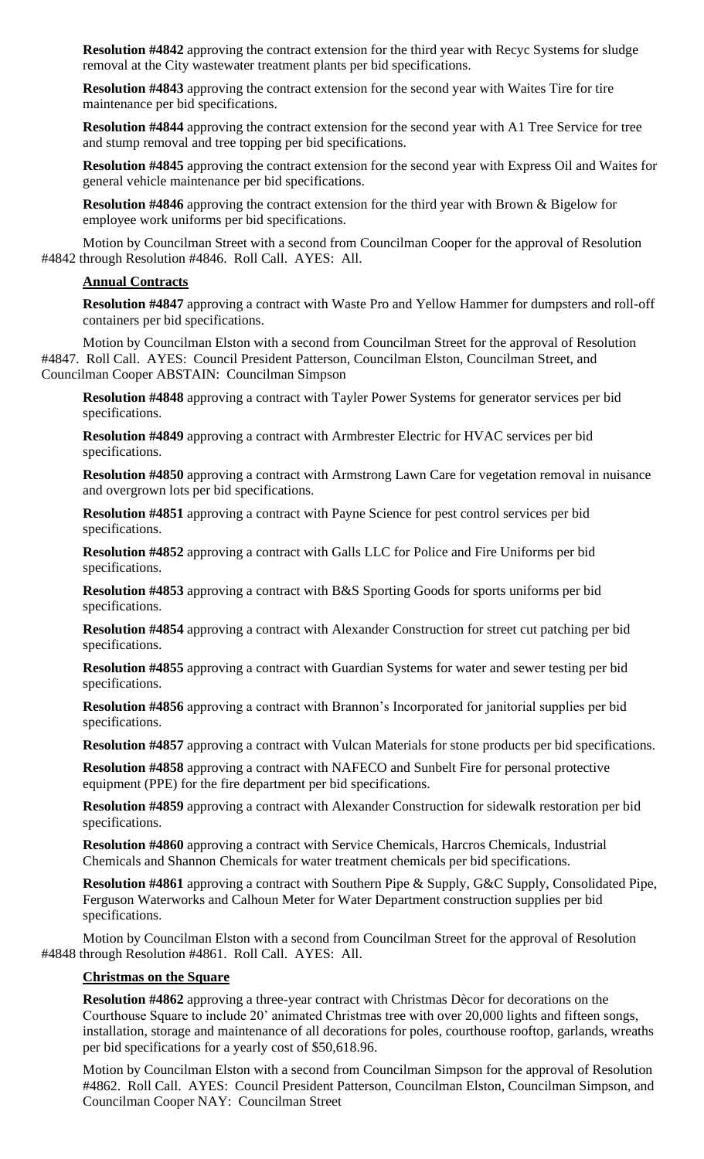**Resolution #4842** approving the contract extension for the third year with Recyc Systems for sludge removal at the City wastewater treatment plants per bid specifications.

**Resolution #4843** approving the contract extension for the second year with Waites Tire for tire maintenance per bid specifications.

**Resolution #4844** approving the contract extension for the second year with A1 Tree Service for tree and stump removal and tree topping per bid specifications.

**Resolution #4845** approving the contract extension for the second year with Express Oil and Waites for general vehicle maintenance per bid specifications.

**Resolution #4846** approving the contract extension for the third year with Brown & Bigelow for employee work uniforms per bid specifications.

Motion by Councilman Street with a second from Councilman Cooper for the approval of Resolution #4842 through Resolution #4846. Roll Call. AYES: All.

#### **Annual Contracts**

**Resolution #4847** approving a contract with Waste Pro and Yellow Hammer for dumpsters and roll-off containers per bid specifications.

Motion by Councilman Elston with a second from Councilman Street for the approval of Resolution #4847. Roll Call. AYES: Council President Patterson, Councilman Elston, Councilman Street, and Councilman Cooper ABSTAIN: Councilman Simpson

**Resolution #4848** approving a contract with Tayler Power Systems for generator services per bid specifications.

**Resolution #4849** approving a contract with Armbrester Electric for HVAC services per bid specifications.

**Resolution #4850** approving a contract with Armstrong Lawn Care for vegetation removal in nuisance and overgrown lots per bid specifications.

**Resolution #4851** approving a contract with Payne Science for pest control services per bid specifications.

**Resolution #4852** approving a contract with Galls LLC for Police and Fire Uniforms per bid specifications.

**Resolution #4853** approving a contract with B&S Sporting Goods for sports uniforms per bid specifications.

**Resolution #4854** approving a contract with Alexander Construction for street cut patching per bid specifications.

**Resolution #4855** approving a contract with Guardian Systems for water and sewer testing per bid specifications.

**Resolution #4856** approving a contract with Brannon's Incorporated for janitorial supplies per bid specifications.

**Resolution #4857** approving a contract with Vulcan Materials for stone products per bid specifications.

**Resolution #4858** approving a contract with NAFECO and Sunbelt Fire for personal protective equipment (PPE) for the fire department per bid specifications.

**Resolution #4859** approving a contract with Alexander Construction for sidewalk restoration per bid specifications.

**Resolution #4860** approving a contract with Service Chemicals, Harcros Chemicals, Industrial Chemicals and Shannon Chemicals for water treatment chemicals per bid specifications.

**Resolution #4861** approving a contract with Southern Pipe & Supply, G&C Supply, Consolidated Pipe, Ferguson Waterworks and Calhoun Meter for Water Department construction supplies per bid specifications.

Motion by Councilman Elston with a second from Councilman Street for the approval of Resolution #4848 through Resolution #4861. Roll Call. AYES: All.

#### **Christmas on the Square**

**Resolution #4862** approving a three-year contract with Christmas Dècor for decorations on the Courthouse Square to include 20' animated Christmas tree with over 20,000 lights and fifteen songs, installation, storage and maintenance of all decorations for poles, courthouse rooftop, garlands, wreaths per bid specifications for a yearly cost of \$50,618.96.

Motion by Councilman Elston with a second from Councilman Simpson for the approval of Resolution #4862. Roll Call. AYES: Council President Patterson, Councilman Elston, Councilman Simpson, and Councilman Cooper NAY: Councilman Street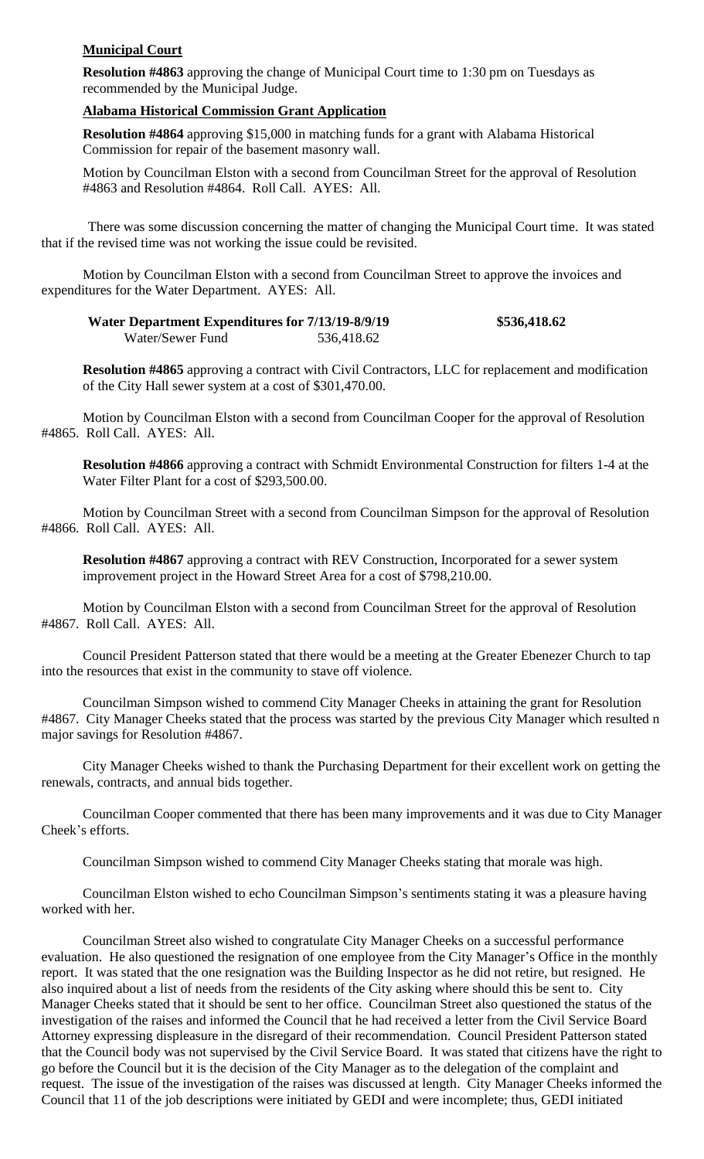# **Municipal Court**

**Resolution #4863** approving the change of Municipal Court time to 1:30 pm on Tuesdays as recommended by the Municipal Judge.

### **Alabama Historical Commission Grant Application**

**Resolution #4864** approving \$15,000 in matching funds for a grant with Alabama Historical Commission for repair of the basement masonry wall.

Motion by Councilman Elston with a second from Councilman Street for the approval of Resolution #4863 and Resolution #4864. Roll Call. AYES: All.

There was some discussion concerning the matter of changing the Municipal Court time. It was stated that if the revised time was not working the issue could be revisited.

Motion by Councilman Elston with a second from Councilman Street to approve the invoices and expenditures for the Water Department. AYES: All.

**Water Department Expenditures for 7/13/19-8/9/19 \$536,418.62** Water/Sewer Fund 536,418.62

**Resolution #4865** approving a contract with Civil Contractors, LLC for replacement and modification of the City Hall sewer system at a cost of \$301,470.00.

Motion by Councilman Elston with a second from Councilman Cooper for the approval of Resolution #4865. Roll Call. AYES: All.

**Resolution #4866** approving a contract with Schmidt Environmental Construction for filters 1-4 at the Water Filter Plant for a cost of \$293,500.00.

Motion by Councilman Street with a second from Councilman Simpson for the approval of Resolution #4866. Roll Call. AYES: All.

**Resolution #4867** approving a contract with REV Construction, Incorporated for a sewer system improvement project in the Howard Street Area for a cost of \$798,210.00.

Motion by Councilman Elston with a second from Councilman Street for the approval of Resolution #4867. Roll Call. AYES: All.

Council President Patterson stated that there would be a meeting at the Greater Ebenezer Church to tap into the resources that exist in the community to stave off violence.

Councilman Simpson wished to commend City Manager Cheeks in attaining the grant for Resolution #4867. City Manager Cheeks stated that the process was started by the previous City Manager which resulted n major savings for Resolution #4867.

City Manager Cheeks wished to thank the Purchasing Department for their excellent work on getting the renewals, contracts, and annual bids together.

Councilman Cooper commented that there has been many improvements and it was due to City Manager Cheek's efforts.

Councilman Simpson wished to commend City Manager Cheeks stating that morale was high.

Councilman Elston wished to echo Councilman Simpson's sentiments stating it was a pleasure having worked with her.

Councilman Street also wished to congratulate City Manager Cheeks on a successful performance evaluation. He also questioned the resignation of one employee from the City Manager's Office in the monthly report. It was stated that the one resignation was the Building Inspector as he did not retire, but resigned. He also inquired about a list of needs from the residents of the City asking where should this be sent to. City Manager Cheeks stated that it should be sent to her office. Councilman Street also questioned the status of the investigation of the raises and informed the Council that he had received a letter from the Civil Service Board Attorney expressing displeasure in the disregard of their recommendation. Council President Patterson stated that the Council body was not supervised by the Civil Service Board. It was stated that citizens have the right to go before the Council but it is the decision of the City Manager as to the delegation of the complaint and request. The issue of the investigation of the raises was discussed at length. City Manager Cheeks informed the Council that 11 of the job descriptions were initiated by GEDI and were incomplete; thus, GEDI initiated